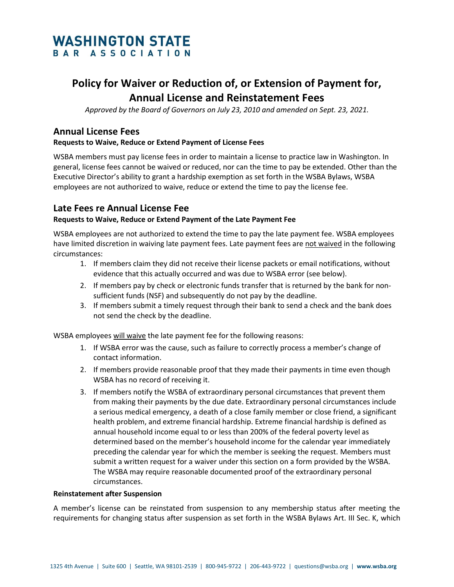## **WASHINGTON STATE** BAR ASSOCIATION

# **Policy for Waiver or Reduction of, or Extension of Payment for, Annual License and Reinstatement Fees**

*Approved by the Board of Governors on July 23, 2010 and amended on Sept. 23, 2021.*

## **Annual License Fees**

#### **Requests to Waive, Reduce or Extend Payment of License Fees**

WSBA members must pay license fees in order to maintain a license to practice law in Washington. In general, license fees cannot be waived or reduced, nor can the time to pay be extended. Other than the Executive Director's ability to grant a hardship exemption as set forth in the WSBA Bylaws, WSBA employees are not authorized to waive, reduce or extend the time to pay the license fee.

### **Late Fees re Annual License Fee**

#### **Requests to Waive, Reduce or Extend Payment of the Late Payment Fee**

WSBA employees are not authorized to extend the time to pay the late payment fee. WSBA employees have limited discretion in waiving late payment fees. Late payment fees are not waived in the following circumstances:

- 1. If members claim they did not receive their license packets or email notifications, without evidence that this actually occurred and was due to WSBA error (see below).
- 2. If members pay by check or electronic funds transfer that is returned by the bank for nonsufficient funds (NSF) and subsequently do not pay by the deadline.
- 3. If members submit a timely request through their bank to send a check and the bank does not send the check by the deadline.

WSBA employees will waive the late payment fee for the following reasons:

- 1. If WSBA error was the cause, such as failure to correctly process a member's change of contact information.
- 2. If members provide reasonable proof that they made their payments in time even though WSBA has no record of receiving it.
- 3. If members notify the WSBA of extraordinary personal circumstances that prevent them from making their payments by the due date. Extraordinary personal circumstances include a serious medical emergency, a death of a close family member or close friend, a significant health problem, and extreme financial hardship. Extreme financial hardship is defined as annual household income equal to or less than 200% of the federal poverty level as determined based on the member's household income for the calendar year immediately preceding the calendar year for which the member is seeking the request. Members must submit a written request for a waiver under this section on a form provided by the WSBA. The WSBA may require reasonable documented proof of the extraordinary personal circumstances.

#### **Reinstatement after Suspension**

A member's license can be reinstated from suspension to any membership status after meeting the requirements for changing status after suspension as set forth in the WSBA Bylaws Art. III Sec. K, which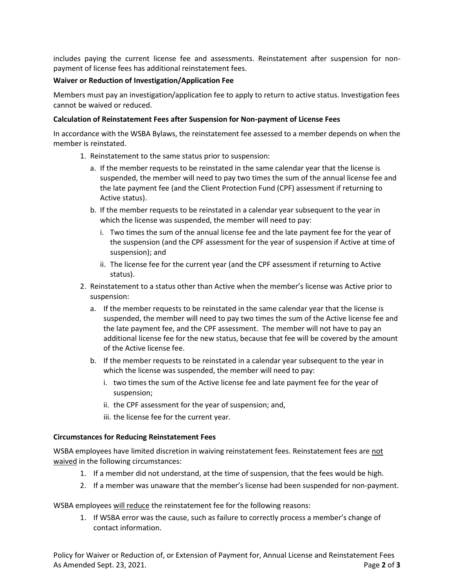includes paying the current license fee and assessments. Reinstatement after suspension for nonpayment of license fees has additional reinstatement fees.

#### **Waiver or Reduction of Investigation/Application Fee**

Members must pay an investigation/application fee to apply to return to active status. Investigation fees cannot be waived or reduced.

#### **Calculation of Reinstatement Fees after Suspension for Non-payment of License Fees**

In accordance with the WSBA Bylaws, the reinstatement fee assessed to a member depends on when the member is reinstated.

- 1. Reinstatement to the same status prior to suspension:
	- a. If the member requests to be reinstated in the same calendar year that the license is suspended, the member will need to pay two times the sum of the annual license fee and the late payment fee (and the Client Protection Fund (CPF) assessment if returning to Active status).
	- b. If the member requests to be reinstated in a calendar year subsequent to the year in which the license was suspended, the member will need to pay:
		- i. Two times the sum of the annual license fee and the late payment fee for the year of the suspension (and the CPF assessment for the year of suspension if Active at time of suspension); and
		- ii. The license fee for the current year (and the CPF assessment if returning to Active status).
- 2. Reinstatement to a status other than Active when the member's license was Active prior to suspension:
	- a. If the member requests to be reinstated in the same calendar year that the license is suspended, the member will need to pay two times the sum of the Active license fee and the late payment fee, and the CPF assessment. The member will not have to pay an additional license fee for the new status, because that fee will be covered by the amount of the Active license fee.
	- b. If the member requests to be reinstated in a calendar year subsequent to the year in which the license was suspended, the member will need to pay:
		- i. two times the sum of the Active license fee and late payment fee for the year of suspension;
		- ii. the CPF assessment for the year of suspension; and,
		- iii. the license fee for the current year.

#### **Circumstances for Reducing Reinstatement Fees**

WSBA employees have limited discretion in waiving reinstatement fees. Reinstatement fees are not waived in the following circumstances:

- 1. If a member did not understand, at the time of suspension, that the fees would be high.
- 2. If a member was unaware that the member's license had been suspended for non-payment.

WSBA employees will reduce the reinstatement fee for the following reasons:

1. If WSBA error was the cause, such as failure to correctly process a member's change of contact information.

Policy for Waiver or Reduction of, or Extension of Payment for, Annual License and Reinstatement Fees As Amended Sept. 23, 2021. Page **2** of **3**